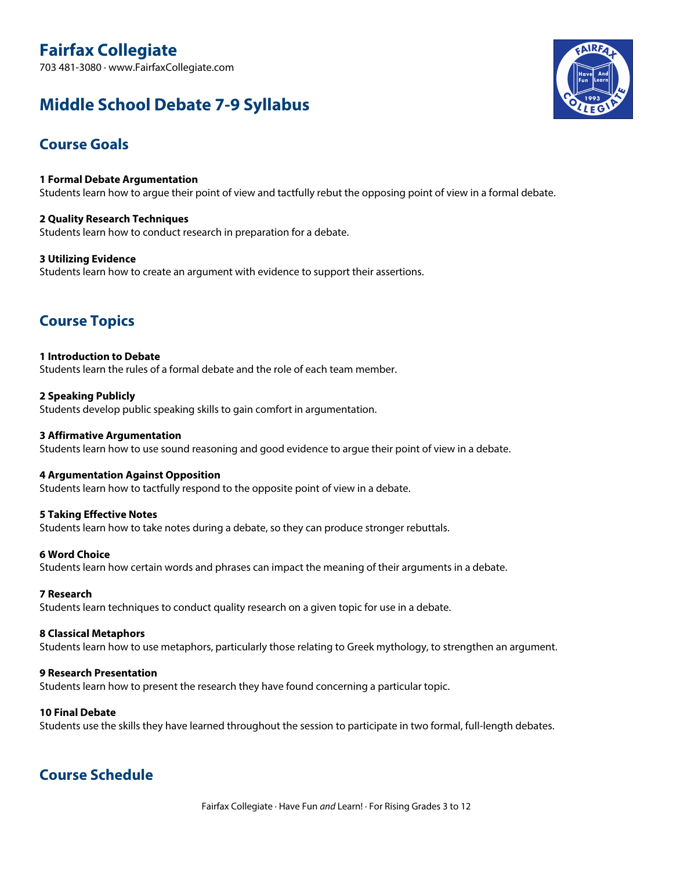# **Fairfax Collegiate**

703 481-3080 · www.FairfaxCollegiate.com

## **Middle School Debate 7-9 Syllabus**

## **Course Goals**

**1 Formal Debate Argumentation** Students learn how to argue their point of view and tactfully rebut the opposing point of view in a formal debate.

**2 Quality Research Techniques** Students learn how to conduct research in preparation for a debate.

**3 Utilizing Evidence** Students learn how to create an argument with evidence to support their assertions.

## **Course Topics**

**1 Introduction to Debate** Students learn the rules of a formal debate and the role of each team member.

**2 Speaking Publicly** Students develop public speaking skills to gain comfort in argumentation.

#### **3 Affirmative Argumentation** Students learn how to use sound reasoning and good evidence to argue their point of view in a debate.

#### **4 Argumentation Against Opposition**

Students learn how to tactfully respond to the opposite point of view in a debate.

#### **5 Taking Effective Notes**

Students learn how to take notes during a debate, so they can produce stronger rebuttals.

#### **6 Word Choice**

Students learn how certain words and phrases can impact the meaning of their arguments in a debate.

#### **7 Research**

Students learn techniques to conduct quality research on a given topic for use in a debate.

#### **8 Classical Metaphors**

Students learn how to use metaphors, particularly those relating to Greek mythology, to strengthen an argument.

#### **9 Research Presentation**

Students learn how to present the research they have found concerning a particular topic.

#### **10 Final Debate**

Students use the skills they have learned throughout the session to participate in two formal, full-length debates.

### **Course Schedule**

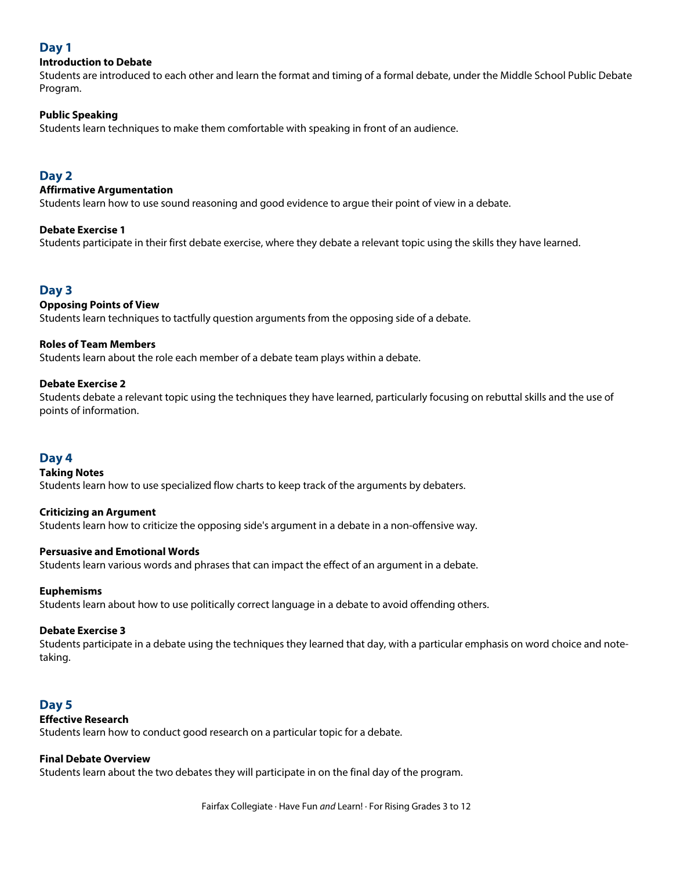#### **Day 1**

#### **Introduction to Debate**

Students are introduced to each other and learn the format and timing of a formal debate, under the Middle School Public Debate Program.

#### **Public Speaking**

Students learn techniques to make them comfortable with speaking in front of an audience.

#### **Day 2**

#### **Affirmative Argumentation**

Students learn how to use sound reasoning and good evidence to argue their point of view in a debate.

#### **Debate Exercise 1**

Students participate in their first debate exercise, where they debate a relevant topic using the skills they have learned.

#### **Day 3**

#### **Opposing Points of View**

Students learn techniques to tactfully question arguments from the opposing side of a debate.

#### **Roles of Team Members**

Students learn about the role each member of a debate team plays within a debate.

#### **Debate Exercise 2**

Students debate a relevant topic using the techniques they have learned, particularly focusing on rebuttal skills and the use of points of information.

#### **Day 4**

#### **Taking Notes**

Students learn how to use specialized flow charts to keep track of the arguments by debaters.

#### **Criticizing an Argument**

Students learn how to criticize the opposing side's argument in a debate in a non-offensive way.

#### **Persuasive and Emotional Words**

Students learn various words and phrases that can impact the effect of an argument in a debate.

#### **Euphemisms**

Students learn about how to use politically correct language in a debate to avoid offending others.

#### **Debate Exercise 3**

Students participate in a debate using the techniques they learned that day, with a particular emphasis on word choice and notetaking.

#### **Day 5**

#### **Effective Research**

Students learn how to conduct good research on a particular topic for a debate.

#### **Final Debate Overview**

Students learn about the two debates they will participate in on the final day of the program.

Fairfax Collegiate · Have Fun *and* Learn! · For Rising Grades 3 to 12